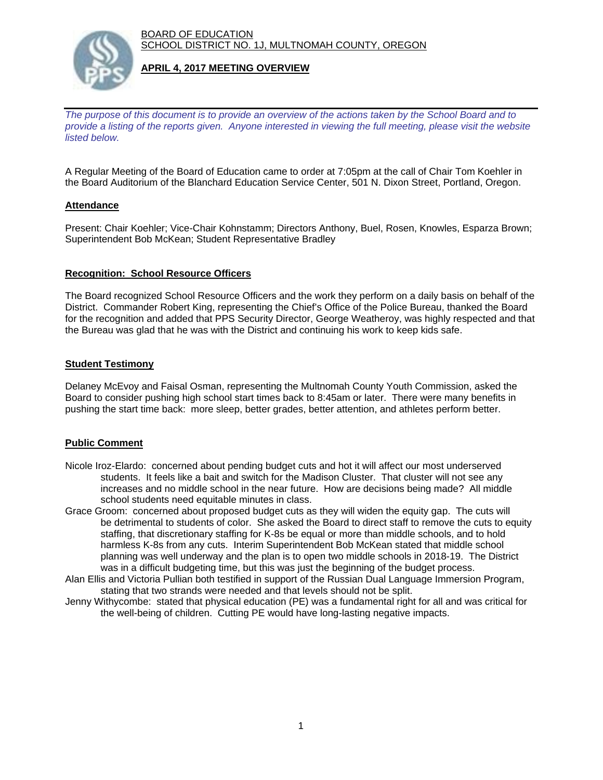BOARD OF EDUCATION SCHOOL DISTRICT NO. 1J, MULTNOMAH COUNTY, OREGON



### **APRIL 4, 2017 MEETING OVERVIEW**

*The purpose of this document is to provide an overview of the actions taken by the School Board and to provide a listing of the reports given. Anyone interested in viewing the full meeting, please visit the website listed below.*

A Regular Meeting of the Board of Education came to order at 7:05pm at the call of Chair Tom Koehler in the Board Auditorium of the Blanchard Education Service Center, 501 N. Dixon Street, Portland, Oregon.

## **Attendance**

Present: Chair Koehler; Vice-Chair Kohnstamm; Directors Anthony, Buel, Rosen, Knowles, Esparza Brown; Superintendent Bob McKean; Student Representative Bradley

### **Recognition: School Resource Officers**

The Board recognized School Resource Officers and the work they perform on a daily basis on behalf of the District. Commander Robert King, representing the Chief's Office of the Police Bureau, thanked the Board for the recognition and added that PPS Security Director, George Weatheroy, was highly respected and that the Bureau was glad that he was with the District and continuing his work to keep kids safe.

### **Student Testimony**

Delaney McEvoy and Faisal Osman, representing the Multnomah County Youth Commission, asked the Board to consider pushing high school start times back to 8:45am or later. There were many benefits in pushing the start time back: more sleep, better grades, better attention, and athletes perform better.

### **Public Comment**

- Nicole Iroz-Elardo: concerned about pending budget cuts and hot it will affect our most underserved students. It feels like a bait and switch for the Madison Cluster. That cluster will not see any increases and no middle school in the near future. How are decisions being made? All middle school students need equitable minutes in class.
- Grace Groom: concerned about proposed budget cuts as they will widen the equity gap. The cuts will be detrimental to students of color. She asked the Board to direct staff to remove the cuts to equity staffing, that discretionary staffing for K-8s be equal or more than middle schools, and to hold harmless K-8s from any cuts. Interim Superintendent Bob McKean stated that middle school planning was well underway and the plan is to open two middle schools in 2018-19. The District was in a difficult budgeting time, but this was just the beginning of the budget process.
- Alan Ellis and Victoria Pullian both testified in support of the Russian Dual Language Immersion Program, stating that two strands were needed and that levels should not be split.
- Jenny Withycombe: stated that physical education (PE) was a fundamental right for all and was critical for the well-being of children. Cutting PE would have long-lasting negative impacts.